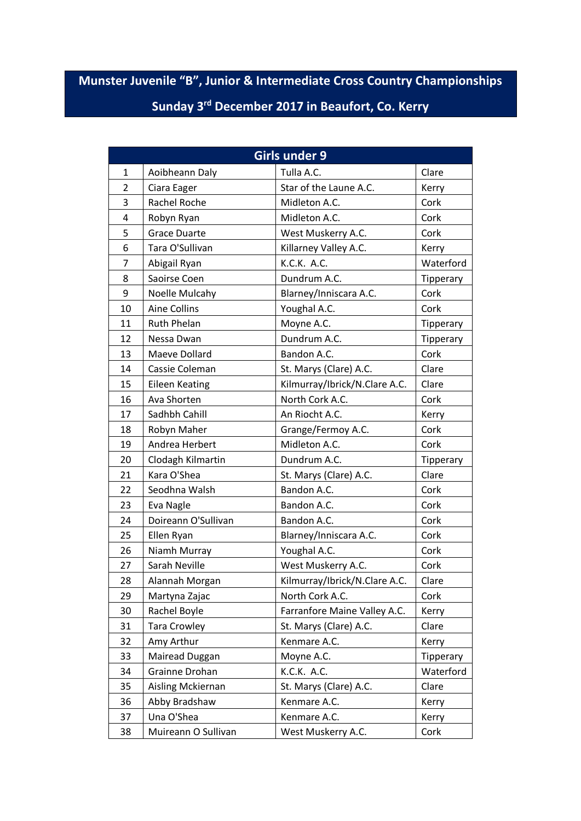## **Munster Juvenile "B", Junior & Intermediate Cross Country Championships Sunday 3rd December 2017 in Beaufort, Co. Kerry**

|                |                       | <b>Girls under 9</b>          |           |
|----------------|-----------------------|-------------------------------|-----------|
| $\mathbf 1$    | Aoibheann Daly        | Tulla A.C.                    | Clare     |
| $\overline{2}$ | Ciara Eager           | Star of the Laune A.C.        | Kerry     |
| 3              | Rachel Roche          | Midleton A.C.                 | Cork      |
| 4              | Robyn Ryan            | Midleton A.C.                 | Cork      |
| 5              | <b>Grace Duarte</b>   | West Muskerry A.C.            | Cork      |
| 6              | Tara O'Sullivan       | Killarney Valley A.C.         | Kerry     |
| 7              | Abigail Ryan          | K.C.K. A.C.                   | Waterford |
| 8              | Saoirse Coen          | Dundrum A.C.                  | Tipperary |
| 9              | Noelle Mulcahy        | Blarney/Inniscara A.C.        | Cork      |
| 10             | <b>Aine Collins</b>   | Youghal A.C.                  | Cork      |
| 11             | Ruth Phelan           | Moyne A.C.                    | Tipperary |
| 12             | Nessa Dwan            | Dundrum A.C.                  | Tipperary |
| 13             | Maeve Dollard         | Bandon A.C.                   | Cork      |
| 14             | Cassie Coleman        | St. Marys (Clare) A.C.        | Clare     |
| 15             | <b>Eileen Keating</b> | Kilmurray/Ibrick/N.Clare A.C. | Clare     |
| 16             | Ava Shorten           | North Cork A.C.               | Cork      |
| 17             | Sadhbh Cahill         | An Riocht A.C.                | Kerry     |
| 18             | Robyn Maher           | Grange/Fermoy A.C.            | Cork      |
| 19             | Andrea Herbert        | Midleton A.C.                 | Cork      |
| 20             | Clodagh Kilmartin     | Dundrum A.C.                  | Tipperary |
| 21             | Kara O'Shea           | St. Marys (Clare) A.C.        | Clare     |
| 22             | Seodhna Walsh         | Bandon A.C.                   | Cork      |
| 23             | Eva Nagle             | Bandon A.C.                   | Cork      |
| 24             | Doireann O'Sullivan   | Bandon A.C.                   | Cork      |
| 25             | Ellen Ryan            | Blarney/Inniscara A.C.        | Cork      |
| 26             | Niamh Murray          | Youghal A.C.                  | Cork      |
| 27             | Sarah Neville         | West Muskerry A.C.            | Cork      |
| 28             | Alannah Morgan        | Kilmurray/Ibrick/N.Clare A.C. | Clare     |
| 29             | Martyna Zajac         | North Cork A.C.               | Cork      |
| 30             | Rachel Boyle          | Farranfore Maine Valley A.C.  | Kerry     |
| 31             | Tara Crowley          | St. Marys (Clare) A.C.        | Clare     |
| 32             | Amy Arthur            | Kenmare A.C.                  | Kerry     |
| 33             | Mairead Duggan        | Moyne A.C.                    | Tipperary |
| 34             | Grainne Drohan        | K.C.K. A.C.                   | Waterford |
| 35             | Aisling Mckiernan     | St. Marys (Clare) A.C.        | Clare     |
| 36             | Abby Bradshaw         | Kenmare A.C.                  | Kerry     |
| 37             | Una O'Shea            | Kenmare A.C.                  | Kerry     |
| 38             | Muireann O Sullivan   | West Muskerry A.C.            | Cork      |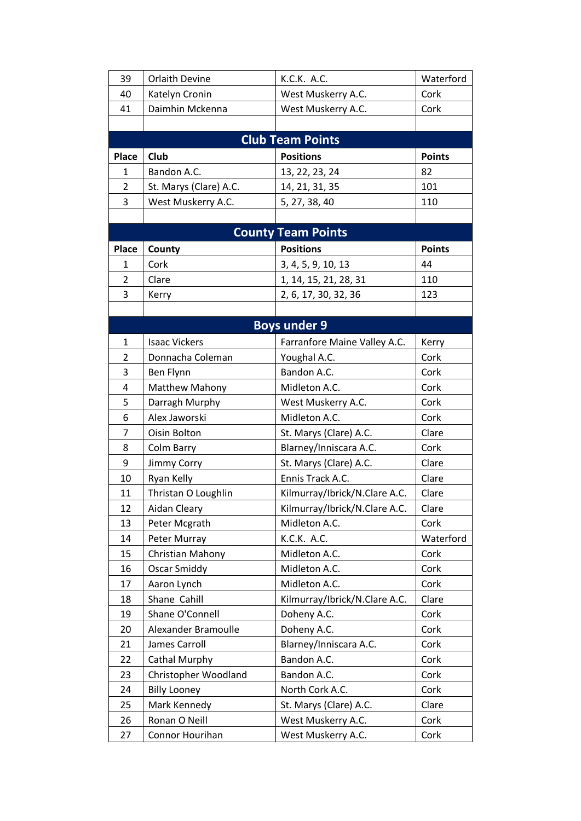| 39             | Orlaith Devine         | K.C.K. A.C.                   | Waterford     |
|----------------|------------------------|-------------------------------|---------------|
| 40             | Katelyn Cronin         | West Muskerry A.C.            | Cork          |
| 41             | Daimhin Mckenna        | West Muskerry A.C.            | Cork          |
|                |                        |                               |               |
|                |                        | <b>Club Team Points</b>       |               |
| Place          | Club                   | <b>Positions</b>              | <b>Points</b> |
| $\mathbf{1}$   | Bandon A.C.            | 13, 22, 23, 24                | 82            |
| $\overline{2}$ | St. Marys (Clare) A.C. | 14, 21, 31, 35                | 101           |
| 3              | West Muskerry A.C.     | 5, 27, 38, 40                 | 110           |
|                |                        |                               |               |
|                |                        | <b>County Team Points</b>     |               |
| Place          | County                 | <b>Positions</b>              | <b>Points</b> |
| 1              | Cork                   | 3, 4, 5, 9, 10, 13            | 44            |
| $\overline{2}$ | Clare                  | 1, 14, 15, 21, 28, 31         | 110           |
| 3              | Kerry                  | 2, 6, 17, 30, 32, 36          | 123           |
|                |                        |                               |               |
|                |                        | <b>Boys under 9</b>           |               |
| $\mathbf{1}$   | <b>Isaac Vickers</b>   | Farranfore Maine Valley A.C.  | Kerry         |
| $\overline{2}$ | Donnacha Coleman       | Youghal A.C.                  | Cork          |
| 3              | Ben Flynn              | Bandon A.C.                   | Cork          |
| 4              | <b>Matthew Mahony</b>  | Midleton A.C.                 | Cork          |
| 5              | Darragh Murphy         | West Muskerry A.C.            | Cork          |
| 6              | Alex Jaworski          | Midleton A.C.                 | Cork          |
| 7              | Oisin Bolton           | St. Marys (Clare) A.C.        | Clare         |
| 8              | Colm Barry             | Blarney/Inniscara A.C.        | Cork          |
| 9              | Jimmy Corry            | St. Marys (Clare) A.C.        | Clare         |
| 10             | Ryan Kelly             | Ennis Track A.C.              | Clare         |
| 11             | Thristan O Loughlin    | Kilmurray/Ibrick/N.Clare A.C. | Clare         |
| 12             | Aidan Cleary           | Kilmurray/Ibrick/N.Clare A.C. | Clare         |
| 13             | Peter Mcgrath          | Midleton A.C.                 | Cork          |
| 14             | Peter Murray           | K.C.K. A.C.                   | Waterford     |
| 15             | Christian Mahony       | Midleton A.C.                 | Cork          |
| 16             | <b>Oscar Smiddy</b>    | Midleton A.C.                 | Cork          |
| 17             | Aaron Lynch            | Midleton A.C.                 | Cork          |
| 18             | Shane Cahill           | Kilmurray/Ibrick/N.Clare A.C. | Clare         |
| 19             | Shane O'Connell        | Doheny A.C.                   | Cork          |
| 20             | Alexander Bramoulle    | Doheny A.C.                   | Cork          |
| 21             | James Carroll          | Blarney/Inniscara A.C.        | Cork          |
| 22             | Cathal Murphy          | Bandon A.C.                   | Cork          |
| 23             | Christopher Woodland   | Bandon A.C.                   | Cork          |
| 24             | <b>Billy Looney</b>    | North Cork A.C.               | Cork          |
| 25             | Mark Kennedy           | St. Marys (Clare) A.C.        | Clare         |
| 26             | Ronan O Neill          | West Muskerry A.C.            | Cork          |
| 27             | Connor Hourihan        | West Muskerry A.C.            | Cork          |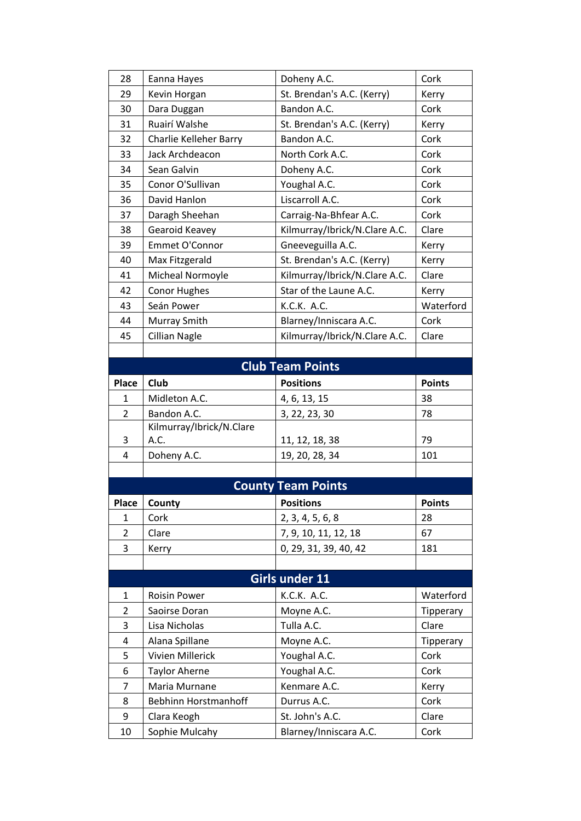| 28             | Eanna Hayes              | Doheny A.C.                   | Cork          |
|----------------|--------------------------|-------------------------------|---------------|
| 29             | Kevin Horgan             | St. Brendan's A.C. (Kerry)    | Kerry         |
| 30             | Dara Duggan              | Bandon A.C.                   | Cork          |
| 31             | Ruairí Walshe            | St. Brendan's A.C. (Kerry)    | Kerry         |
| 32             | Charlie Kelleher Barry   | Bandon A.C.                   | Cork          |
| 33             | Jack Archdeacon          | North Cork A.C.               | Cork          |
| 34             | Sean Galvin              | Doheny A.C.                   | Cork          |
| 35             | Conor O'Sullivan         | Youghal A.C.                  | Cork          |
| 36             | David Hanlon             | Liscarroll A.C.               | Cork          |
| 37             | Daragh Sheehan           | Carraig-Na-Bhfear A.C.        | Cork          |
| 38             | Gearoid Keavey           | Kilmurray/Ibrick/N.Clare A.C. | Clare         |
| 39             | Emmet O'Connor           | Gneeveguilla A.C.             | Kerry         |
| 40             | Max Fitzgerald           | St. Brendan's A.C. (Kerry)    | Kerry         |
| 41             | Micheal Normoyle         | Kilmurray/Ibrick/N.Clare A.C. | Clare         |
| 42             | <b>Conor Hughes</b>      | Star of the Laune A.C.        | Kerry         |
| 43             | Seán Power               | K.C.K. A.C.                   | Waterford     |
| 44             | Murray Smith             | Blarney/Inniscara A.C.        | Cork          |
| 45             | <b>Cillian Nagle</b>     | Kilmurray/Ibrick/N.Clare A.C. | Clare         |
|                |                          |                               |               |
|                |                          | <b>Club Team Points</b>       |               |
| <b>Place</b>   | Club                     | <b>Positions</b>              | <b>Points</b> |
| 1              | Midleton A.C.            | 4, 6, 13, 15                  | 38            |
|                |                          |                               |               |
| 2              | Bandon A.C.              | 3, 22, 23, 30                 | 78            |
|                | Kilmurray/Ibrick/N.Clare |                               |               |
| 3              | A.C.                     | 11, 12, 18, 38                | 79            |
| 4              | Doheny A.C.              | 19, 20, 28, 34                | 101           |
|                |                          |                               |               |
|                |                          | <b>County Team Points</b>     |               |
| Place          | County                   | <b>Positions</b>              | <b>Points</b> |
| $\mathbf{1}$   | Cork                     | 2, 3, 4, 5, 6, 8              | 28            |
| $\overline{2}$ | Clare                    | 7, 9, 10, 11, 12, 18          | 67            |
| 3              | Kerry                    | 0, 29, 31, 39, 40, 42         | 181           |
|                |                          |                               |               |
|                |                          | Girls under 11                |               |
| $\mathbf{1}$   | <b>Roisin Power</b>      | K.C.K. A.C.                   | Waterford     |
| $\overline{2}$ | Saoirse Doran            | Moyne A.C.                    | Tipperary     |
| 3              | Lisa Nicholas            | Tulla A.C.                    | Clare         |
| 4              | Alana Spillane           | Moyne A.C.                    | Tipperary     |
| 5              | Vivien Millerick         | Youghal A.C.                  | Cork          |
| 6              | <b>Taylor Aherne</b>     | Youghal A.C.                  | Cork          |
| $\overline{7}$ | Maria Murnane            | Kenmare A.C.                  | Kerry         |
| 8              | Bebhinn Horstmanhoff     | Durrus A.C.                   | Cork          |
| 9              | Clara Keogh              | St. John's A.C.               | Clare         |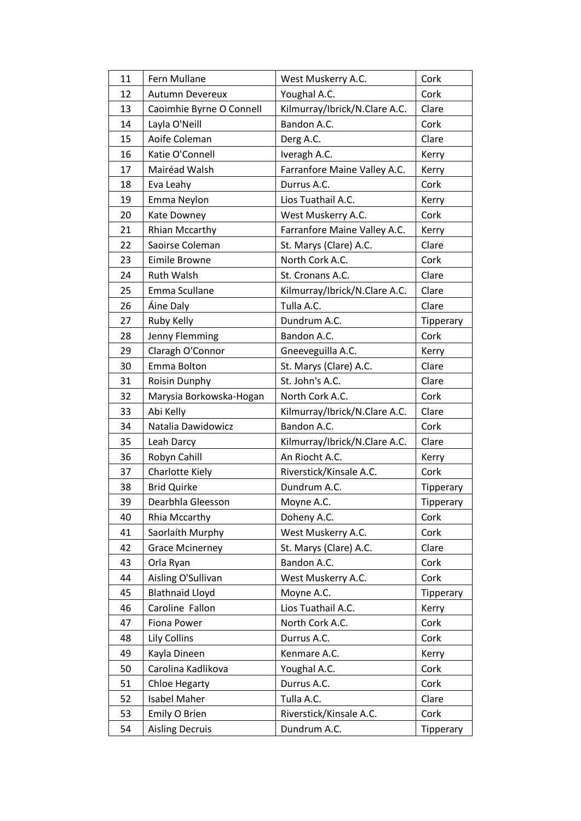| 11 | Fern Mullane             | West Muskerry A.C.            | Cork      |
|----|--------------------------|-------------------------------|-----------|
| 12 | <b>Autumn Devereux</b>   | Youghal A.C.                  | Cork      |
| 13 | Caoimhie Byrne O Connell | Kilmurray/Ibrick/N.Clare A.C. | Clare     |
| 14 | Layla O'Neill            | Bandon A.C.                   | Cork      |
| 15 | Aoife Coleman            | Derg A.C.                     | Clare     |
| 16 | Katie O'Connell          | Iveragh A.C.                  | Kerry     |
| 17 | Mairéad Walsh            | Farranfore Maine Valley A.C.  | Kerry     |
| 18 | Eva Leahy                | Durrus A.C.                   | Cork      |
| 19 | Emma Neylon              | Lios Tuathail A.C.            | Kerry     |
| 20 | Kate Downey              | West Muskerry A.C.            | Cork      |
| 21 | <b>Rhian Mccarthy</b>    | Farranfore Maine Valley A.C.  | Kerry     |
| 22 | Saoirse Coleman          | St. Marys (Clare) A.C.        | Clare     |
| 23 | Eimile Browne            | North Cork A.C.               | Cork      |
| 24 | Ruth Walsh               | St. Cronans A.C.              | Clare     |
| 25 | Emma Scullane            | Kilmurray/Ibrick/N.Clare A.C. | Clare     |
| 26 | Áine Daly                | Tulla A.C.                    | Clare     |
| 27 | Ruby Kelly               | Dundrum A.C.                  | Tipperary |
| 28 | Jenny Flemming           | Bandon A.C.                   | Cork      |
| 29 | Claragh O'Connor         | Gneeveguilla A.C.             | Kerry     |
| 30 | Emma Bolton              | St. Marys (Clare) A.C.        | Clare     |
| 31 | Roisin Dunphy            | St. John's A.C.               | Clare     |
| 32 | Marysia Borkowska-Hogan  | North Cork A.C.               | Cork      |
| 33 | Abi Kelly                | Kilmurray/Ibrick/N.Clare A.C. | Clare     |
| 34 | Natalia Dawidowicz       | Bandon A.C.                   | Cork      |
| 35 | Leah Darcy               | Kilmurray/Ibrick/N.Clare A.C. | Clare     |
| 36 | Robyn Cahill             | An Riocht A.C.                | Kerry     |
| 37 | Charlotte Kiely          | Riverstick/Kinsale A.C.       | Cork      |
| 38 | <b>Brid Quirke</b>       | Dundrum A.C.                  | Tipperary |
| 39 | Dearbhla Gleesson        | Moyne A.C.                    | Tipperary |
| 40 | Rhia Mccarthy            | Doheny A.C.                   | Cork      |
| 41 | Saorlaíth Murphy         | West Muskerry A.C.            | Cork      |
| 42 | <b>Grace Mcinerney</b>   | St. Marys (Clare) A.C.        | Clare     |
| 43 | Orla Ryan                | Bandon A.C.                   | Cork      |
| 44 | Aisling O'Sullivan       | West Muskerry A.C.            | Cork      |
| 45 | <b>Blathnaid Lloyd</b>   | Moyne A.C.                    | Tipperary |
| 46 | Caroline Fallon          | Lios Tuathail A.C.            | Kerry     |
| 47 | Fiona Power              | North Cork A.C.               | Cork      |
| 48 | Lily Collins             | Durrus A.C.                   | Cork      |
| 49 | Kayla Dineen             | Kenmare A.C.                  | Kerry     |
| 50 | Carolina Kadlikova       | Youghal A.C.                  | Cork      |
| 51 | <b>Chloe Hegarty</b>     | Durrus A.C.                   | Cork      |
| 52 | <b>Isabel Maher</b>      | Tulla A.C.                    | Clare     |
| 53 | Emily O Brien            | Riverstick/Kinsale A.C.       | Cork      |
| 54 | <b>Aisling Decruis</b>   | Dundrum A.C.                  | Tipperary |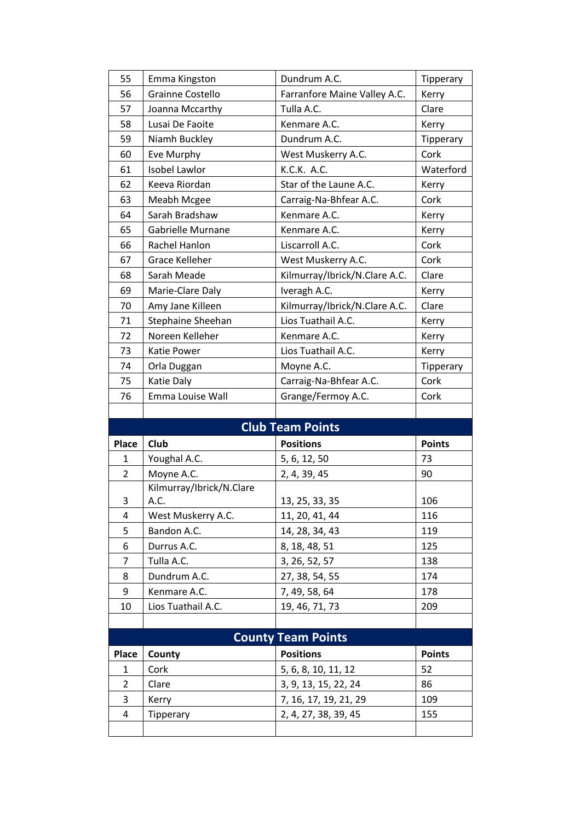| 55             | Emma Kingston            | Dundrum A.C.                                  | Tipperary     |
|----------------|--------------------------|-----------------------------------------------|---------------|
| 56             | Grainne Costello         | Farranfore Maine Valley A.C.                  | Kerry         |
| 57             | Joanna Mccarthy          | Tulla A.C.                                    | Clare         |
| 58             | Lusai De Faoite          | Kenmare A.C.                                  | Kerry         |
| 59             | Niamh Buckley            | Dundrum A.C.                                  | Tipperary     |
| 60             | Eve Murphy               | West Muskerry A.C.                            | Cork          |
| 61             | Isobel Lawlor            | K.C.K. A.C.                                   | Waterford     |
| 62             | Keeva Riordan            | Star of the Laune A.C.                        | Kerry         |
| 63             | Meabh Mcgee              | Carraig-Na-Bhfear A.C.                        | Cork          |
| 64             | Sarah Bradshaw           | Kenmare A.C.                                  | Kerry         |
| 65             | <b>Gabrielle Murnane</b> | Kenmare A.C.                                  | Kerry         |
| 66             | Rachel Hanlon            | Liscarroll A.C.                               | Cork          |
| 67             | Grace Kelleher           | West Muskerry A.C.                            | Cork          |
| 68             | Sarah Meade              | Kilmurray/Ibrick/N.Clare A.C.                 | Clare         |
| 69             | Marie-Clare Daly         | Iveragh A.C.                                  | Kerry         |
| 70             | Amy Jane Killeen         | Kilmurray/Ibrick/N.Clare A.C.                 | Clare         |
| 71             | Stephaine Sheehan        | Lios Tuathail A.C.                            | Kerry         |
| 72             | Noreen Kelleher          | Kenmare A.C.                                  | Kerry         |
| 73             | Katie Power              | Lios Tuathail A.C.                            | Kerry         |
| 74             | Orla Duggan              | Moyne A.C.                                    | Tipperary     |
| 75             | Katie Daly               | Carraig-Na-Bhfear A.C.                        | Cork          |
| 76             | Emma Louise Wall         | Grange/Fermoy A.C.                            | Cork          |
|                |                          |                                               |               |
|                |                          |                                               |               |
|                |                          | <b>Club Team Points</b>                       |               |
| Place          | Club                     | <b>Positions</b>                              | <b>Points</b> |
| $\mathbf{1}$   | Youghal A.C.             | 5, 6, 12, 50                                  | 73            |
| $\overline{2}$ | Moyne A.C.               | 2, 4, 39, 45                                  | 90            |
|                | Kilmurray/Ibrick/N.Clare |                                               |               |
| 3              | A.C.                     | 13, 25, 33, 35                                | 106           |
| 4              | West Muskerry A.C.       | 11, 20, 41, 44                                | 116           |
| 5              | Bandon A.C.              | 14, 28, 34, 43                                | 119           |
| 6              | Durrus A.C.              | 8, 18, 48, 51                                 | 125           |
| 7              | Tulla A.C.               | 3, 26, 52, 57                                 | 138           |
| 8              | Dundrum A.C.             | 27, 38, 54, 55                                | 174           |
| 9              | Kenmare A.C.             | 7, 49, 58, 64                                 | 178           |
| 10             | Lios Tuathail A.C.       | 19, 46, 71, 73                                | 209           |
|                |                          |                                               |               |
|                |                          | <b>County Team Points</b>                     |               |
| Place          | County                   | <b>Positions</b>                              | <b>Points</b> |
| 1              | Cork                     | 5, 6, 8, 10, 11, 12                           | 52            |
| $\overline{2}$ | Clare                    | 3, 9, 13, 15, 22, 24                          | 86            |
| 3<br>4         | Kerry<br>Tipperary       | 7, 16, 17, 19, 21, 29<br>2, 4, 27, 38, 39, 45 | 109<br>155    |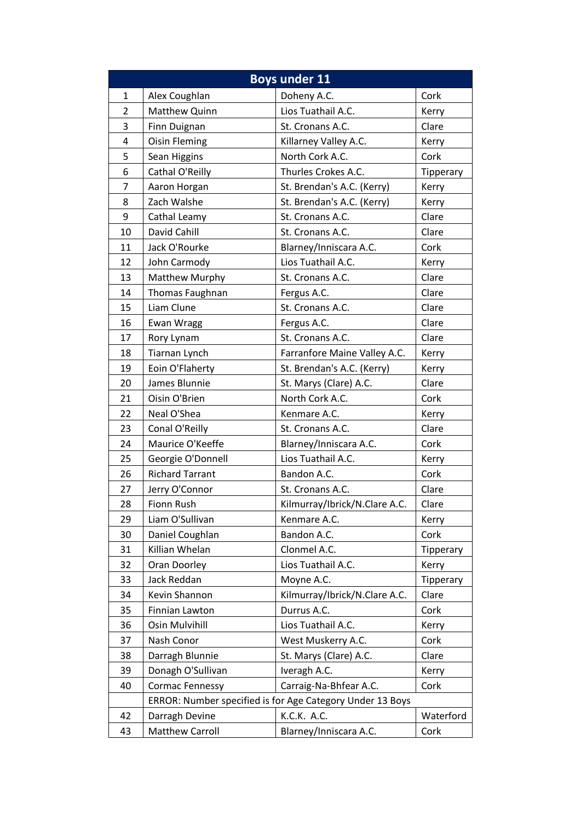|                |                        | <b>Boys under 11</b>                                      |           |
|----------------|------------------------|-----------------------------------------------------------|-----------|
| 1              | Alex Coughlan          | Doheny A.C.                                               | Cork      |
| $\overline{2}$ | Matthew Quinn          | Lios Tuathail A.C.                                        | Kerry     |
| 3              | Finn Duignan           | St. Cronans A.C.                                          | Clare     |
| 4              | <b>Oisin Fleming</b>   | Killarney Valley A.C.                                     | Kerry     |
| 5              | Sean Higgins           | North Cork A.C.                                           | Cork      |
| 6              | Cathal O'Reilly        | Thurles Crokes A.C.                                       | Tipperary |
| 7              | Aaron Horgan           | St. Brendan's A.C. (Kerry)                                | Kerry     |
| 8              | Zach Walshe            | St. Brendan's A.C. (Kerry)                                | Kerry     |
| 9              | Cathal Leamy           | St. Cronans A.C.                                          | Clare     |
| 10             | David Cahill           | St. Cronans A.C.                                          | Clare     |
| 11             | Jack O'Rourke          | Blarney/Inniscara A.C.                                    | Cork      |
| 12             | John Carmody           | Lios Tuathail A.C.                                        | Kerry     |
| 13             | Matthew Murphy         | St. Cronans A.C.                                          | Clare     |
| 14             | Thomas Faughnan        | Fergus A.C.                                               | Clare     |
| 15             | Liam Clune             | St. Cronans A.C.                                          | Clare     |
| 16             | Ewan Wragg             | Fergus A.C.                                               | Clare     |
| 17             | Rory Lynam             | St. Cronans A.C.                                          | Clare     |
| 18             | Tiarnan Lynch          | Farranfore Maine Valley A.C.                              | Kerry     |
| 19             | Eoin O'Flaherty        | St. Brendan's A.C. (Kerry)                                | Kerry     |
| 20             | James Blunnie          | St. Marys (Clare) A.C.                                    | Clare     |
| 21             | Oisin O'Brien          | North Cork A.C.                                           | Cork      |
| 22             | Neal O'Shea            | Kenmare A.C.                                              | Kerry     |
| 23             | Conal O'Reilly         | St. Cronans A.C.                                          | Clare     |
| 24             | Maurice O'Keeffe       | Blarney/Inniscara A.C.                                    | Cork      |
| 25             | Georgie O'Donnell      | Lios Tuathail A.C.                                        | Kerry     |
| 26             | <b>Richard Tarrant</b> | Bandon A.C.                                               | Cork      |
| 27             | Jerry O'Connor         | St. Cronans A.C.                                          | Clare     |
| 28             | Fionn Rush             | Kilmurray/Ibrick/N.Clare A.C.                             | Clare     |
| 29             | Liam O'Sullivan        | Kenmare A.C.                                              | Kerry     |
| 30             | Daniel Coughlan        | Bandon A.C.                                               | Cork      |
| 31             | Killian Whelan         | Clonmel A.C.                                              | Tipperary |
| 32             | Oran Doorley           | Lios Tuathail A.C.                                        | Kerry     |
| 33             | Jack Reddan            | Moyne A.C.                                                | Tipperary |
| 34             | Kevin Shannon          | Kilmurray/Ibrick/N.Clare A.C.                             | Clare     |
| 35             | Finnian Lawton         | Durrus A.C.                                               | Cork      |
| 36             | Osin Mulvihill         | Lios Tuathail A.C.                                        | Kerry     |
| 37             | Nash Conor             | West Muskerry A.C.                                        | Cork      |
| 38             | Darragh Blunnie        | St. Marys (Clare) A.C.                                    | Clare     |
| 39             | Donagh O'Sullivan      | Iveragh A.C.                                              | Kerry     |
| 40             | <b>Cormac Fennessy</b> | Carraig-Na-Bhfear A.C.                                    | Cork      |
|                |                        | ERROR: Number specified is for Age Category Under 13 Boys |           |
| 42             | Darragh Devine         | K.C.K. A.C.                                               | Waterford |
| 43             | <b>Matthew Carroll</b> | Blarney/Inniscara A.C.                                    | Cork      |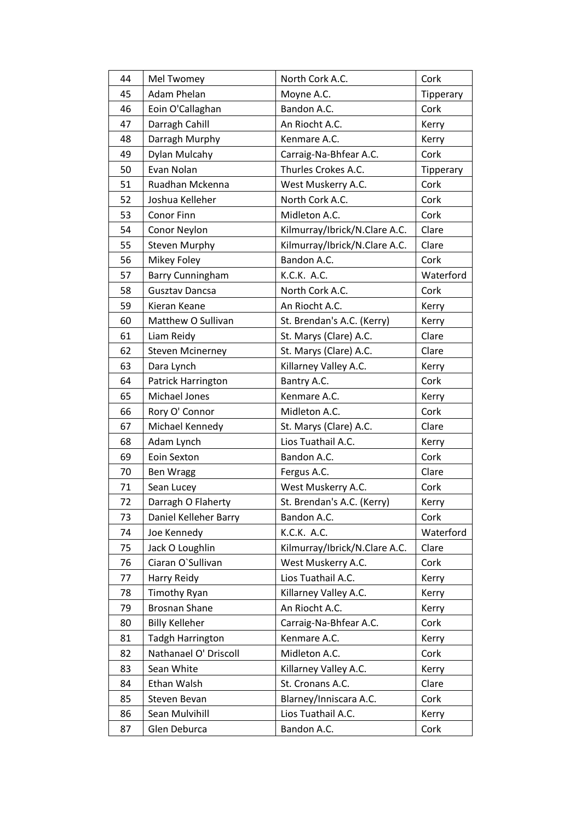| 44 | Mel Twomey              | North Cork A.C.               | Cork      |
|----|-------------------------|-------------------------------|-----------|
| 45 | <b>Adam Phelan</b>      | Moyne A.C.                    | Tipperary |
| 46 | Eoin O'Callaghan        | Bandon A.C.                   | Cork      |
| 47 | Darragh Cahill          | An Riocht A.C.                | Kerry     |
| 48 | Darragh Murphy          | Kenmare A.C.                  | Kerry     |
| 49 | Dylan Mulcahy           | Carraig-Na-Bhfear A.C.        | Cork      |
| 50 | Evan Nolan              | Thurles Crokes A.C.           | Tipperary |
| 51 | Ruadhan Mckenna         | West Muskerry A.C.            | Cork      |
| 52 | Joshua Kelleher         | North Cork A.C.               | Cork      |
| 53 | Conor Finn              | Midleton A.C.                 | Cork      |
| 54 | Conor Neylon            | Kilmurray/Ibrick/N.Clare A.C. | Clare     |
| 55 | <b>Steven Murphy</b>    | Kilmurray/Ibrick/N.Clare A.C. | Clare     |
| 56 | Mikey Foley             | Bandon A.C.                   | Cork      |
| 57 | Barry Cunningham        | K.C.K. A.C.                   | Waterford |
| 58 | <b>Gusztav Dancsa</b>   | North Cork A.C.               | Cork      |
| 59 | Kieran Keane            | An Riocht A.C.                | Kerry     |
| 60 | Matthew O Sullivan      | St. Brendan's A.C. (Kerry)    | Kerry     |
| 61 | Liam Reidy              | St. Marys (Clare) A.C.        | Clare     |
| 62 | <b>Steven Mcinerney</b> | St. Marys (Clare) A.C.        | Clare     |
| 63 | Dara Lynch              | Killarney Valley A.C.         | Kerry     |
| 64 | Patrick Harrington      | Bantry A.C.                   | Cork      |
| 65 | Michael Jones           | Kenmare A.C.                  | Kerry     |
| 66 | Rory O' Connor          | Midleton A.C.                 | Cork      |
| 67 | Michael Kennedy         | St. Marys (Clare) A.C.        | Clare     |
| 68 | Adam Lynch              | Lios Tuathail A.C.            | Kerry     |
| 69 | Eoin Sexton             | Bandon A.C.                   | Cork      |
| 70 | <b>Ben Wragg</b>        | Fergus A.C.                   | Clare     |
| 71 | Sean Lucey              | West Muskerry A.C.            | Cork      |
| 72 | Darragh O Flaherty      | St. Brendan's A.C. (Kerry)    | Kerry     |
| 73 | Daniel Kelleher Barry   | Bandon A.C.                   | Cork      |
| 74 | Joe Kennedy             | K.C.K. A.C.                   | Waterford |
| 75 | Jack O Loughlin         | Kilmurray/Ibrick/N.Clare A.C. | Clare     |
| 76 | Ciaran O'Sullivan       | West Muskerry A.C.            | Cork      |
| 77 | Harry Reidy             | Lios Tuathail A.C.            | Kerry     |
| 78 | <b>Timothy Ryan</b>     | Killarney Valley A.C.         | Kerry     |
| 79 | <b>Brosnan Shane</b>    | An Riocht A.C.                | Kerry     |
| 80 | <b>Billy Kelleher</b>   | Carraig-Na-Bhfear A.C.        | Cork      |
| 81 | <b>Tadgh Harrington</b> | Kenmare A.C.                  | Kerry     |
| 82 | Nathanael O' Driscoll   | Midleton A.C.                 | Cork      |
| 83 | Sean White              | Killarney Valley A.C.         | Kerry     |
| 84 | Ethan Walsh             | St. Cronans A.C.              | Clare     |
| 85 | Steven Bevan            | Blarney/Inniscara A.C.        | Cork      |
| 86 | Sean Mulvihill          | Lios Tuathail A.C.            | Kerry     |
| 87 | Glen Deburca            | Bandon A.C.                   | Cork      |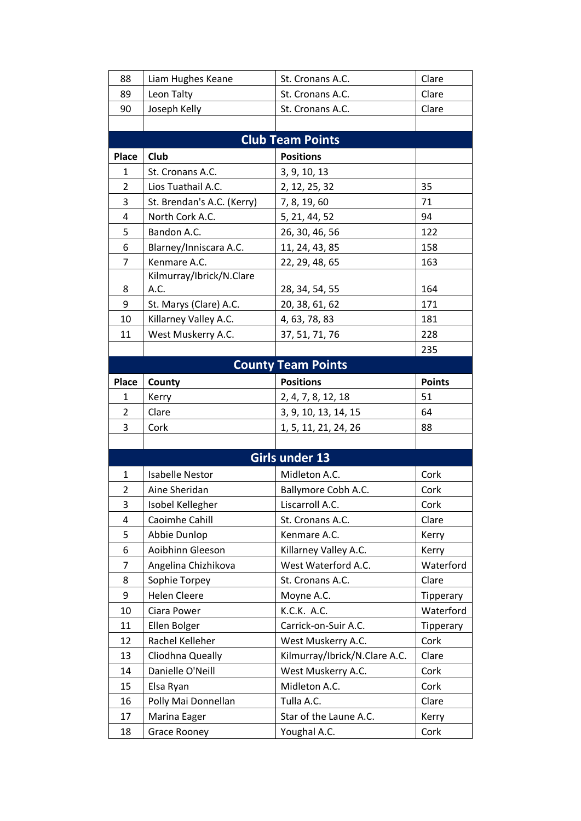| 88             | Liam Hughes Keane          | St. Cronans A.C.              | Clare         |
|----------------|----------------------------|-------------------------------|---------------|
| 89             | Leon Talty                 | St. Cronans A.C.              | Clare         |
| 90             | Joseph Kelly               | St. Cronans A.C.              | Clare         |
|                |                            |                               |               |
|                |                            | <b>Club Team Points</b>       |               |
| Place          | Club                       | <b>Positions</b>              |               |
| 1              | St. Cronans A.C.           | 3, 9, 10, 13                  |               |
| 2              | Lios Tuathail A.C.         | 2, 12, 25, 32                 | 35            |
| 3              | St. Brendan's A.C. (Kerry) | 7, 8, 19, 60                  | 71            |
| 4              | North Cork A.C.            | 5, 21, 44, 52                 | 94            |
| 5              | Bandon A.C.                | 26, 30, 46, 56                | 122           |
| 6              | Blarney/Inniscara A.C.     | 11, 24, 43, 85                | 158           |
| $\overline{7}$ | Kenmare A.C.               | 22, 29, 48, 65                | 163           |
|                | Kilmurray/Ibrick/N.Clare   |                               |               |
| 8              | A.C.                       | 28, 34, 54, 55                | 164           |
| 9              | St. Marys (Clare) A.C.     | 20, 38, 61, 62                | 171           |
| 10             | Killarney Valley A.C.      | 4, 63, 78, 83                 | 181           |
| 11             | West Muskerry A.C.         | 37, 51, 71, 76                | 228           |
|                |                            |                               | 235           |
|                |                            | <b>County Team Points</b>     |               |
| <b>Place</b>   | County                     | <b>Positions</b>              | <b>Points</b> |
| 1              | Kerry                      | 2, 4, 7, 8, 12, 18            | 51            |
| 2              | Clare                      | 3, 9, 10, 13, 14, 15          | 64            |
| 3              | Cork                       | 1, 5, 11, 21, 24, 26          | 88            |
|                |                            |                               |               |
|                |                            | Girls under 13                |               |
| 1              | <b>Isabelle Nestor</b>     | Midleton A.C.                 | Cork          |
| $\overline{2}$ | Aine Sheridan              | Ballymore Cobh A.C.           | Cork          |
| 3              | Isobel Kellegher           | Liscarroll A.C.               | Cork          |
| 4              | Caoimhe Cahill             | St. Cronans A.C.              | Clare         |
| 5              | Abbie Dunlop               | Kenmare A.C.                  | Kerry         |
| 6              | Aoibhinn Gleeson           | Killarney Valley A.C.         | Kerry         |
| $\overline{7}$ | Angelina Chizhikova        | West Waterford A.C.           | Waterford     |
| 8              | Sophie Torpey              | St. Cronans A.C.              | Clare         |
| 9              | <b>Helen Cleere</b>        | Moyne A.C.                    | Tipperary     |
| 10             | Ciara Power                | K.C.K. A.C.                   | Waterford     |
| 11             | Ellen Bolger               | Carrick-on-Suir A.C.          | Tipperary     |
| 12             | Rachel Kelleher            | West Muskerry A.C.            | Cork          |
| 13             | Cliodhna Queally           | Kilmurray/Ibrick/N.Clare A.C. | Clare         |
| 14             | Danielle O'Neill           | West Muskerry A.C.            | Cork          |
| 15             |                            |                               |               |
|                | Elsa Ryan                  | Midleton A.C.                 | Cork          |
| 16             | Polly Mai Donnellan        | Tulla A.C.                    | Clare         |
| 17             | Marina Eager               | Star of the Laune A.C.        | Kerry         |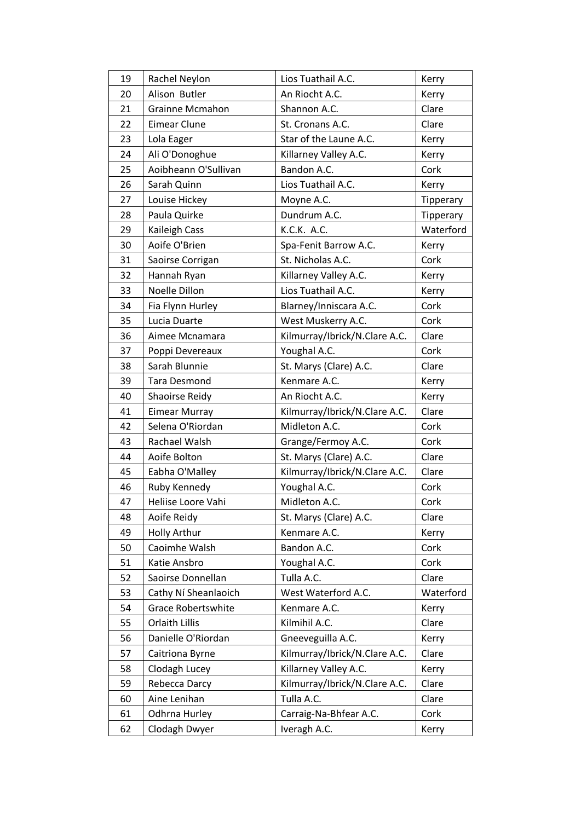| 19 | Rachel Neylon             | Lios Tuathail A.C.            | Kerry     |
|----|---------------------------|-------------------------------|-----------|
| 20 | Alison Butler             | An Riocht A.C.                | Kerry     |
| 21 | Grainne Mcmahon           | Shannon A.C.                  | Clare     |
| 22 | <b>Eimear Clune</b>       | St. Cronans A.C.              | Clare     |
| 23 | Lola Eager                | Star of the Laune A.C.        | Kerry     |
| 24 | Ali O'Donoghue            | Killarney Valley A.C.         | Kerry     |
| 25 | Aoibheann O'Sullivan      | Bandon A.C.                   | Cork      |
| 26 | Sarah Quinn               | Lios Tuathail A.C.            | Kerry     |
| 27 | Louise Hickey             | Moyne A.C.                    | Tipperary |
| 28 | Paula Quirke              | Dundrum A.C.                  | Tipperary |
| 29 | Kaileigh Cass             | K.C.K. A.C.                   | Waterford |
| 30 | Aoife O'Brien             | Spa-Fenit Barrow A.C.         | Kerry     |
| 31 | Saoirse Corrigan          | St. Nicholas A.C.             | Cork      |
| 32 | Hannah Ryan               | Killarney Valley A.C.         | Kerry     |
| 33 | Noelle Dillon             | Lios Tuathail A.C.            | Kerry     |
| 34 | Fia Flynn Hurley          | Blarney/Inniscara A.C.        | Cork      |
| 35 | Lucia Duarte              | West Muskerry A.C.            | Cork      |
| 36 | Aimee Mcnamara            | Kilmurray/Ibrick/N.Clare A.C. | Clare     |
| 37 | Poppi Devereaux           | Youghal A.C.                  | Cork      |
| 38 | Sarah Blunnie             | St. Marys (Clare) A.C.        | Clare     |
| 39 | <b>Tara Desmond</b>       | Kenmare A.C.                  | Kerry     |
| 40 | Shaoirse Reidy            | An Riocht A.C.                | Kerry     |
| 41 | <b>Eimear Murray</b>      | Kilmurray/Ibrick/N.Clare A.C. | Clare     |
| 42 | Selena O'Riordan          | Midleton A.C.                 | Cork      |
| 43 | Rachael Walsh             | Grange/Fermoy A.C.            | Cork      |
| 44 | Aoife Bolton              | St. Marys (Clare) A.C.        | Clare     |
| 45 | Eabha O'Malley            | Kilmurray/Ibrick/N.Clare A.C. | Clare     |
| 46 | Ruby Kennedy              | Youghal A.C.                  | Cork      |
| 47 | Heliise Loore Vahi        | Midleton A.C.                 | Cork      |
| 48 | Aoife Reidy               | St. Marys (Clare) A.C.        | Clare     |
| 49 | <b>Holly Arthur</b>       | Kenmare A.C.                  | Kerry     |
| 50 | Caoimhe Walsh             | Bandon A.C.                   | Cork      |
| 51 | Katie Ansbro              | Youghal A.C.                  | Cork      |
| 52 | Saoirse Donnellan         | Tulla A.C.                    | Clare     |
| 53 | Cathy Ní Sheanlaoich      | West Waterford A.C.           | Waterford |
| 54 | <b>Grace Robertswhite</b> | Kenmare A.C.                  | Kerry     |
| 55 | Orlaith Lillis            | Kilmihil A.C.                 | Clare     |
| 56 | Danielle O'Riordan        | Gneeveguilla A.C.             | Kerry     |
| 57 | Caitriona Byrne           | Kilmurray/Ibrick/N.Clare A.C. | Clare     |
| 58 | Clodagh Lucey             | Killarney Valley A.C.         | Kerry     |
| 59 | Rebecca Darcy             | Kilmurray/Ibrick/N.Clare A.C. | Clare     |
| 60 | Aine Lenihan              | Tulla A.C.                    | Clare     |
| 61 | Odhrna Hurley             | Carraig-Na-Bhfear A.C.        | Cork      |
| 62 | Clodagh Dwyer             | Iveragh A.C.                  | Kerry     |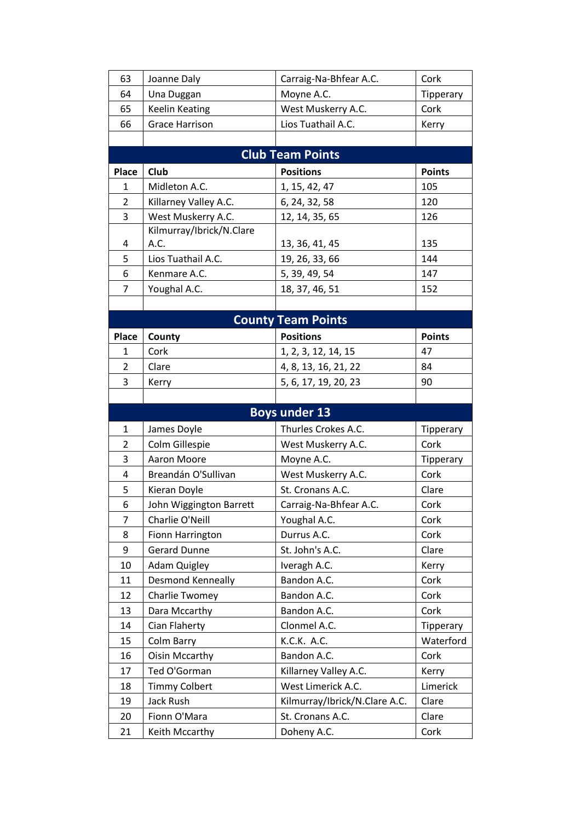| 63             | Joanne Daly              | Carraig-Na-Bhfear A.C.          | Cork          |
|----------------|--------------------------|---------------------------------|---------------|
| 64             | Una Duggan               | Moyne A.C.                      | Tipperary     |
| 65             | <b>Keelin Keating</b>    | West Muskerry A.C.              | Cork          |
| 66             | <b>Grace Harrison</b>    | Lios Tuathail A.C.              | Kerry         |
|                |                          |                                 |               |
|                |                          | <b>Club Team Points</b>         |               |
| Place          | Club                     | <b>Positions</b>                | <b>Points</b> |
| 1              | Midleton A.C.            | 1, 15, 42, 47                   | 105           |
| $\overline{2}$ | Killarney Valley A.C.    | 6, 24, 32, 58                   | 120           |
| 3              | West Muskerry A.C.       | 12, 14, 35, 65                  | 126           |
|                | Kilmurray/Ibrick/N.Clare |                                 |               |
| 4              | A.C.                     | 13, 36, 41, 45                  | 135           |
| 5              | Lios Tuathail A.C.       | 19, 26, 33, 66                  | 144           |
| 6              | Kenmare A.C.             | 5, 39, 49, 54                   | 147           |
| $\overline{7}$ | Youghal A.C.             | 18, 37, 46, 51                  | 152           |
|                |                          |                                 |               |
|                |                          | <b>County Team Points</b>       |               |
| <b>Place</b>   | County                   | <b>Positions</b>                | <b>Points</b> |
| $\mathbf{1}$   | Cork                     | 1, 2, 3, 12, 14, 15             | 47            |
| $\overline{2}$ | Clare                    | 4, 8, 13, 16, 21, 22            | 84            |
| 3              | Kerry                    | 5, 6, 17, 19, 20, 23            | 90            |
|                |                          |                                 |               |
|                |                          |                                 |               |
|                |                          | <b>Boys under 13</b>            |               |
| $\mathbf{1}$   | James Doyle              | Thurles Crokes A.C.             | Tipperary     |
| $\overline{2}$ | Colm Gillespie           | West Muskerry A.C.              | Cork          |
| 3              | Aaron Moore              | Moyne A.C.                      | Tipperary     |
| 4              | Breandán O'Sullivan      | West Muskerry A.C.              | Cork          |
| 5              | Kieran Doyle             | St. Cronans A.C.                | Clare         |
| 6              | John Wiggington Barrett  | Carraig-Na-Bhfear A.C.          | Cork          |
| $\overline{7}$ | Charlie O'Neill          | Youghal A.C.                    | Cork          |
| 8              | Fionn Harrington         | Durrus A.C.                     | Cork          |
| 9              | <b>Gerard Dunne</b>      | St. John's A.C.                 | Clare         |
| 10             | <b>Adam Quigley</b>      | Iveragh A.C.                    | Kerry         |
| 11             | Desmond Kenneally        | Bandon A.C.                     | Cork          |
| 12             | Charlie Twomey           | Bandon A.C.                     | Cork          |
| 13             | Dara Mccarthy            | Bandon A.C.                     | Cork          |
| 14             | Cian Flaherty            | Clonmel A.C.                    | Tipperary     |
| 15             | Colm Barry               | K.C.K. A.C.                     | Waterford     |
| 16             | <b>Oisin Mccarthy</b>    | Bandon A.C.                     | Cork          |
| 17             | Ted O'Gorman             | Killarney Valley A.C.           | Kerry         |
| 18             | <b>Timmy Colbert</b>     | West Limerick A.C.              | Limerick      |
| 19             | Jack Rush                | Kilmurray/Ibrick/N.Clare A.C.   | Clare         |
| 20             | Fionn O'Mara             | St. Cronans A.C.<br>Doheny A.C. | Clare         |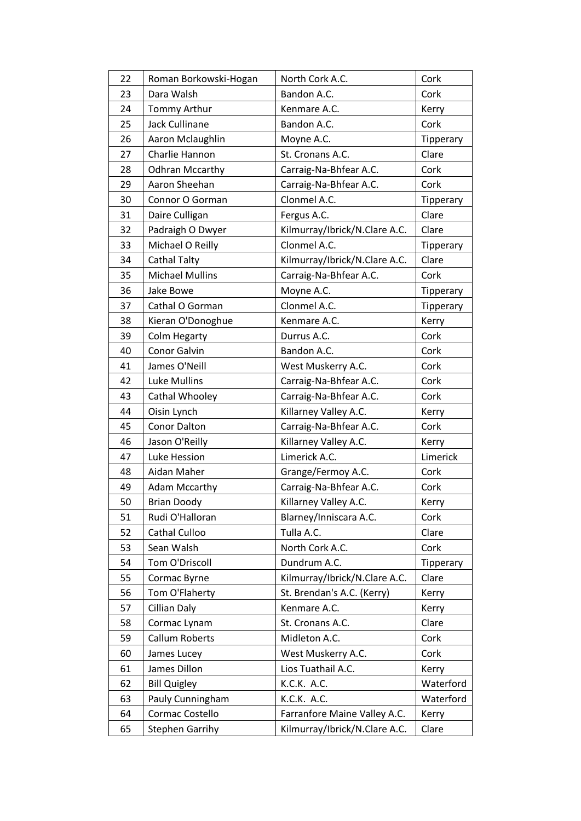| 22 | Roman Borkowski-Hogan  | North Cork A.C.               | Cork      |
|----|------------------------|-------------------------------|-----------|
| 23 | Dara Walsh             | Bandon A.C.                   | Cork      |
| 24 | Tommy Arthur           | Kenmare A.C.                  | Kerry     |
| 25 | Jack Cullinane         | Bandon A.C.                   | Cork      |
| 26 | Aaron Mclaughlin       | Moyne A.C.                    | Tipperary |
| 27 | Charlie Hannon         | St. Cronans A.C.              | Clare     |
| 28 | <b>Odhran Mccarthy</b> | Carraig-Na-Bhfear A.C.        | Cork      |
| 29 | Aaron Sheehan          | Carraig-Na-Bhfear A.C.        | Cork      |
| 30 | Connor O Gorman        | Clonmel A.C.                  | Tipperary |
| 31 | Daire Culligan         | Fergus A.C.                   | Clare     |
| 32 | Padraigh O Dwyer       | Kilmurray/Ibrick/N.Clare A.C. | Clare     |
| 33 | Michael O Reilly       | Clonmel A.C.                  | Tipperary |
| 34 | Cathal Talty           | Kilmurray/Ibrick/N.Clare A.C. | Clare     |
| 35 | <b>Michael Mullins</b> | Carraig-Na-Bhfear A.C.        | Cork      |
| 36 | Jake Bowe              | Moyne A.C.                    | Tipperary |
| 37 | Cathal O Gorman        | Clonmel A.C.                  | Tipperary |
| 38 | Kieran O'Donoghue      | Kenmare A.C.                  | Kerry     |
| 39 | <b>Colm Hegarty</b>    | Durrus A.C.                   | Cork      |
| 40 | Conor Galvin           | Bandon A.C.                   | Cork      |
| 41 | James O'Neill          | West Muskerry A.C.            | Cork      |
| 42 | <b>Luke Mullins</b>    | Carraig-Na-Bhfear A.C.        | Cork      |
| 43 | Cathal Whooley         | Carraig-Na-Bhfear A.C.        | Cork      |
| 44 | Oisin Lynch            | Killarney Valley A.C.         | Kerry     |
| 45 | Conor Dalton           | Carraig-Na-Bhfear A.C.        | Cork      |
| 46 | Jason O'Reilly         | Killarney Valley A.C.         | Kerry     |
| 47 | Luke Hession           | Limerick A.C.                 | Limerick  |
| 48 | Aidan Maher            | Grange/Fermoy A.C.            | Cork      |
| 49 | <b>Adam Mccarthy</b>   | Carraig-Na-Bhfear A.C.        | Cork      |
| 50 | <b>Brian Doody</b>     | Killarney Valley A.C.         | Kerry     |
| 51 | Rudi O'Halloran        | Blarney/Inniscara A.C.        | Cork      |
| 52 | Cathal Culloo          | Tulla A.C.                    | Clare     |
| 53 | Sean Walsh             | North Cork A.C.               | Cork      |
| 54 | Tom O'Driscoll         | Dundrum A.C.                  | Tipperary |
| 55 | Cormac Byrne           | Kilmurray/Ibrick/N.Clare A.C. | Clare     |
| 56 | Tom O'Flaherty         | St. Brendan's A.C. (Kerry)    | Kerry     |
| 57 | <b>Cillian Daly</b>    | Kenmare A.C.                  | Kerry     |
| 58 | Cormac Lynam           | St. Cronans A.C.              | Clare     |
| 59 | Callum Roberts         | Midleton A.C.                 | Cork      |
| 60 | James Lucey            | West Muskerry A.C.            | Cork      |
| 61 | James Dillon           | Lios Tuathail A.C.            | Kerry     |
| 62 | <b>Bill Quigley</b>    | K.C.K. A.C.                   | Waterford |
| 63 | Pauly Cunningham       | K.C.K. A.C.                   | Waterford |
| 64 | Cormac Costello        | Farranfore Maine Valley A.C.  | Kerry     |
| 65 | <b>Stephen Garrihy</b> | Kilmurray/Ibrick/N.Clare A.C. | Clare     |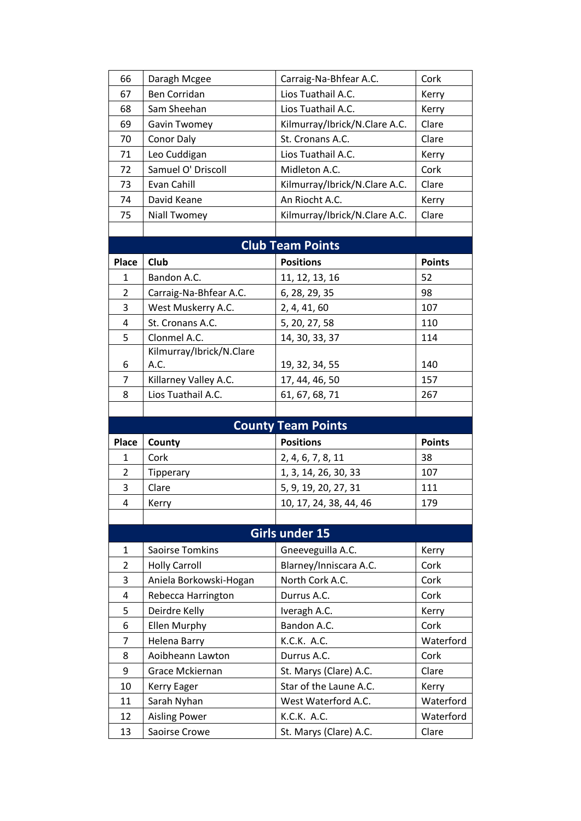| 66             | Daragh Mcgee                          | Carraig-Na-Bhfear A.C.                | Cork               |
|----------------|---------------------------------------|---------------------------------------|--------------------|
| 67             | Ben Corridan                          | Lios Tuathail A.C.                    | Kerry              |
| 68             | Sam Sheehan                           | Lios Tuathail A.C.                    | Kerry              |
| 69             | Gavin Twomey                          | Kilmurray/Ibrick/N.Clare A.C.         | Clare              |
| 70             | Conor Daly                            | St. Cronans A.C.                      | Clare              |
| 71             | Leo Cuddigan                          | Lios Tuathail A.C.                    | Kerry              |
| 72             | Samuel O' Driscoll                    | Midleton A.C.                         | Cork               |
| 73             | Evan Cahill                           | Kilmurray/Ibrick/N.Clare A.C.         | Clare              |
| 74             | David Keane                           | An Riocht A.C.                        | Kerry              |
| 75             | <b>Niall Twomey</b>                   | Kilmurray/Ibrick/N.Clare A.C.         | Clare              |
|                |                                       |                                       |                    |
|                |                                       | <b>Club Team Points</b>               |                    |
| <b>Place</b>   | Club                                  | <b>Positions</b>                      | <b>Points</b>      |
| 1              | Bandon A.C.                           | 11, 12, 13, 16                        | 52                 |
| $\overline{2}$ | Carraig-Na-Bhfear A.C.                | 6, 28, 29, 35                         | 98                 |
| 3              | West Muskerry A.C.                    | 2, 4, 41, 60                          | 107                |
| 4              | St. Cronans A.C.                      | 5, 20, 27, 58                         | 110                |
| 5              | Clonmel A.C.                          | 14, 30, 33, 37                        | 114                |
|                | Kilmurray/Ibrick/N.Clare              |                                       |                    |
| 6              | A.C.                                  | 19, 32, 34, 55                        | 140                |
| $\overline{7}$ | Killarney Valley A.C.                 | 17, 44, 46, 50                        | 157                |
| 8              | Lios Tuathail A.C.                    | 61, 67, 68, 71                        | 267                |
|                |                                       |                                       |                    |
|                |                                       |                                       |                    |
|                |                                       | <b>County Team Points</b>             |                    |
| Place          | County                                | <b>Positions</b>                      | <b>Points</b>      |
| 1              | Cork                                  | 2, 4, 6, 7, 8, 11                     | 38                 |
| 2              | Tipperary                             | 1, 3, 14, 26, 30, 33                  | 107                |
| 3              | Clare                                 | 5, 9, 19, 20, 27, 31                  | 111                |
| 4              | Kerry                                 | 10, 17, 24, 38, 44, 46                | 179                |
|                |                                       |                                       |                    |
|                |                                       | <b>Girls under 15</b>                 |                    |
| $\mathbf{1}$   | <b>Saoirse Tomkins</b>                | Gneeveguilla A.C.                     | Kerry              |
| $\overline{2}$ | <b>Holly Carroll</b>                  | Blarney/Inniscara A.C.                | Cork               |
| 3              | Aniela Borkowski-Hogan                | North Cork A.C.                       | Cork               |
| 4              | Rebecca Harrington                    | Durrus A.C.                           | Cork               |
| 5              | Deirdre Kelly                         | Iveragh A.C.                          | Kerry              |
| 6              | Ellen Murphy                          | Bandon A.C.                           | Cork               |
| $\overline{7}$ | <b>Helena Barry</b>                   | K.C.K. A.C.                           | Waterford          |
| 8              | Aoibheann Lawton                      | Durrus A.C.                           | Cork               |
| 9              | Grace Mckiernan                       | St. Marys (Clare) A.C.                | Clare              |
| 10             | Kerry Eager                           | Star of the Laune A.C.                | Kerry              |
| 11             | Sarah Nyhan                           | West Waterford A.C.                   | Waterford          |
| 12<br>13       | <b>Aisling Power</b><br>Saoirse Crowe | K.C.K. A.C.<br>St. Marys (Clare) A.C. | Waterford<br>Clare |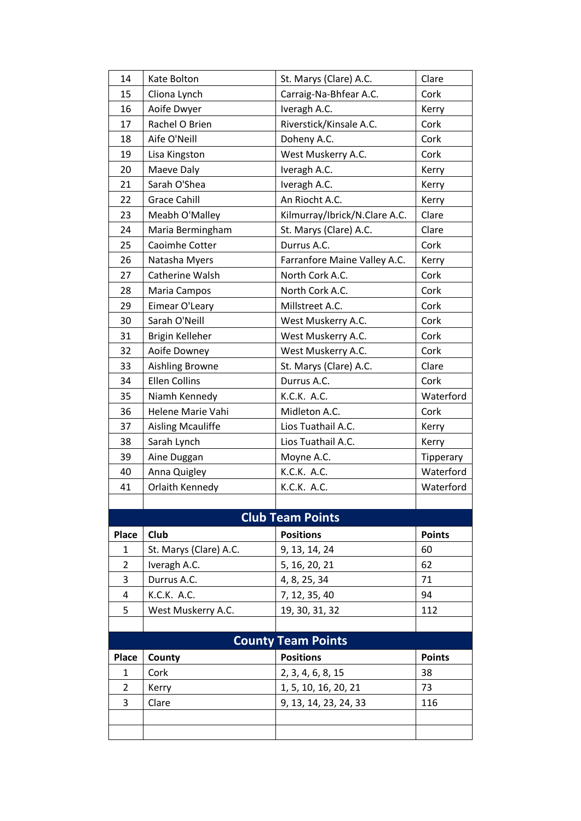| 14                        | Kate Bolton              | St. Marys (Clare) A.C.        | Clare         |  |
|---------------------------|--------------------------|-------------------------------|---------------|--|
| 15                        | Cliona Lynch             | Carraig-Na-Bhfear A.C.        | Cork          |  |
| 16                        | Aoife Dwyer              | Iveragh A.C.                  | Kerry         |  |
| 17                        | Rachel O Brien           | Riverstick/Kinsale A.C.       | Cork          |  |
| 18                        | Aife O'Neill             | Doheny A.C.                   | Cork          |  |
| 19                        | Lisa Kingston            | West Muskerry A.C.            | Cork          |  |
| 20                        | Maeve Daly               | Iveragh A.C.                  | Kerry         |  |
| 21                        | Sarah O'Shea             | Iveragh A.C.                  | Kerry         |  |
| 22                        | <b>Grace Cahill</b>      | An Riocht A.C.                | Kerry         |  |
| 23                        | Meabh O'Malley           | Kilmurray/Ibrick/N.Clare A.C. | Clare         |  |
| 24                        | Maria Bermingham         | St. Marys (Clare) A.C.        | Clare         |  |
| 25                        | Caoimhe Cotter           | Durrus A.C.                   | Cork          |  |
| 26                        | Natasha Myers            | Farranfore Maine Valley A.C.  | Kerry         |  |
| 27                        | Catherine Walsh          | North Cork A.C.               | Cork          |  |
| 28                        | Maria Campos             | North Cork A.C.               | Cork          |  |
| 29                        | Eimear O'Leary           | Millstreet A.C.               | Cork          |  |
| 30                        | Sarah O'Neill            | West Muskerry A.C.            | Cork          |  |
| 31                        | Brigin Kelleher          | West Muskerry A.C.            | Cork          |  |
| 32                        | Aoife Downey             | West Muskerry A.C.            | Cork          |  |
| 33                        | Aishling Browne          | St. Marys (Clare) A.C.        | Clare         |  |
| 34                        | <b>Ellen Collins</b>     | Durrus A.C.                   | Cork          |  |
| 35                        | Niamh Kennedy            | K.C.K. A.C.                   | Waterford     |  |
| 36                        | Helene Marie Vahi        | Midleton A.C.                 | Cork          |  |
| 37                        | <b>Aisling Mcauliffe</b> | Lios Tuathail A.C.            | Kerry         |  |
| 38                        | Sarah Lynch              | Lios Tuathail A.C.            | Kerry         |  |
| 39                        | Aine Duggan              | Moyne A.C.                    | Tipperary     |  |
| 40                        | Anna Quigley             | K.C.K. A.C.                   | Waterford     |  |
| 41                        | Orlaith Kennedy          | K.C.K. A.C.                   | Waterford     |  |
|                           |                          |                               |               |  |
|                           |                          | <b>Club Team Points</b>       |               |  |
| Place                     | Club                     | <b>Positions</b>              | <b>Points</b> |  |
| 1                         | St. Marys (Clare) A.C.   | 9, 13, 14, 24                 | 60            |  |
| $\overline{2}$            | Iveragh A.C.             | 5, 16, 20, 21                 | 62            |  |
| 3                         | Durrus A.C.              | 4, 8, 25, 34                  | 71            |  |
| 4                         | K.C.K. A.C.              | 7, 12, 35, 40                 | 94            |  |
| 5                         | West Muskerry A.C.       | 19, 30, 31, 32                | 112           |  |
|                           |                          |                               |               |  |
| <b>County Team Points</b> |                          |                               |               |  |
| Place                     | County                   | <b>Positions</b>              | <b>Points</b> |  |
| 1                         | Cork                     | 2, 3, 4, 6, 8, 15             | 38            |  |
| $\overline{2}$            | Kerry                    | 1, 5, 10, 16, 20, 21          | 73            |  |
| 3                         | Clare                    | 9, 13, 14, 23, 24, 33         | 116           |  |
|                           |                          |                               |               |  |
|                           |                          |                               |               |  |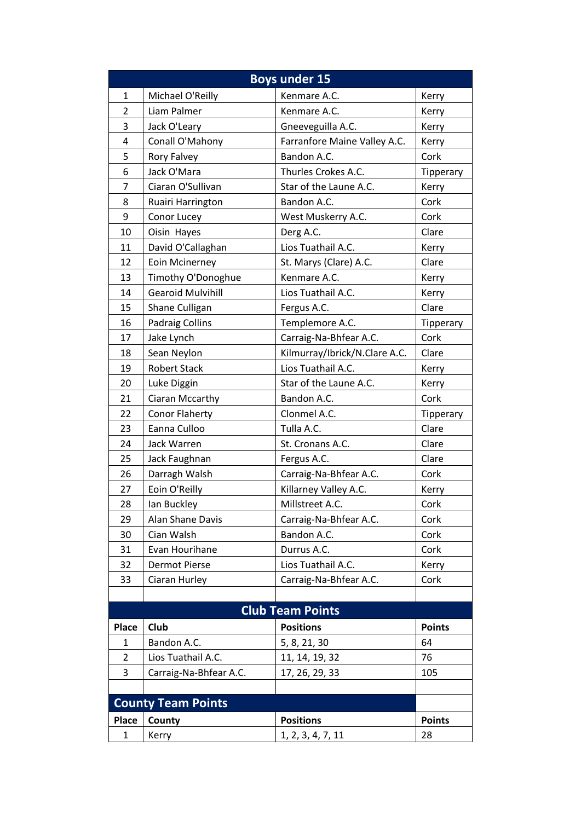| <b>Boys under 15</b>      |                          |                               |               |  |
|---------------------------|--------------------------|-------------------------------|---------------|--|
| 1                         | Michael O'Reilly         | Kenmare A.C.                  | Kerry         |  |
| $\overline{2}$            | Liam Palmer              | Kenmare A.C.                  | Kerry         |  |
| 3                         | Jack O'Leary             | Gneeveguilla A.C.             | Kerry         |  |
| 4                         | Conall O'Mahony          | Farranfore Maine Valley A.C.  | Kerry         |  |
| 5                         | Rory Falvey              | Bandon A.C.                   | Cork          |  |
| 6                         | Jack O'Mara              | Thurles Crokes A.C.           | Tipperary     |  |
| 7                         | Ciaran O'Sullivan        | Star of the Laune A.C.        | Kerry         |  |
| 8                         | Ruairi Harrington        | Bandon A.C.                   | Cork          |  |
| 9                         | Conor Lucey              | West Muskerry A.C.            | Cork          |  |
| 10                        | Oisin Hayes              | Derg A.C.                     | Clare         |  |
| 11                        | David O'Callaghan        | Lios Tuathail A.C.            | Kerry         |  |
| 12                        | Eoin Mcinerney           | St. Marys (Clare) A.C.        | Clare         |  |
| 13                        | Timothy O'Donoghue       | Kenmare A.C.                  | Kerry         |  |
| 14                        | <b>Gearoid Mulvihill</b> | Lios Tuathail A.C.            | Kerry         |  |
| 15                        | Shane Culligan           | Fergus A.C.                   | Clare         |  |
| 16                        | <b>Padraig Collins</b>   | Templemore A.C.               | Tipperary     |  |
| 17                        | Jake Lynch               | Carraig-Na-Bhfear A.C.        | Cork          |  |
| 18                        | Sean Neylon              | Kilmurray/Ibrick/N.Clare A.C. | Clare         |  |
| 19                        | <b>Robert Stack</b>      | Lios Tuathail A.C.            | Kerry         |  |
| 20                        | Luke Diggin              | Star of the Laune A.C.        | Kerry         |  |
| 21                        | Ciaran Mccarthy          | Bandon A.C.                   | Cork          |  |
| 22                        | <b>Conor Flaherty</b>    | Clonmel A.C.                  | Tipperary     |  |
| 23                        | Eanna Culloo             | Tulla A.C.                    | Clare         |  |
| 24                        | Jack Warren              | St. Cronans A.C.              | Clare         |  |
| 25                        | Jack Faughnan            | Fergus A.C.                   | Clare         |  |
| 26                        | Darragh Walsh            | Carraig-Na-Bhfear A.C.        | Cork          |  |
| 27                        | Eoin O'Reilly            | Killarney Valley A.C.         | Kerry         |  |
| 28                        | Ian Buckley              | Millstreet A.C.               | Cork          |  |
| 29                        | Alan Shane Davis         | Carraig-Na-Bhfear A.C.        | Cork          |  |
| 30                        | Cian Walsh               | Bandon A.C.                   | Cork          |  |
| 31                        | Evan Hourihane           | Durrus A.C.                   | Cork          |  |
| 32                        | <b>Dermot Pierse</b>     | Lios Tuathail A.C.            | Kerry         |  |
| 33                        | Ciaran Hurley            | Carraig-Na-Bhfear A.C.        | Cork          |  |
|                           |                          |                               |               |  |
| <b>Club Team Points</b>   |                          |                               |               |  |
| <b>Place</b>              | Club                     | <b>Positions</b>              | <b>Points</b> |  |
| $\mathbf{1}$              | Bandon A.C.              | 5, 8, 21, 30                  | 64            |  |
| 2                         | Lios Tuathail A.C.       | 11, 14, 19, 32                | 76            |  |
| 3                         | Carraig-Na-Bhfear A.C.   | 17, 26, 29, 33                | 105           |  |
|                           |                          |                               |               |  |
| <b>County Team Points</b> |                          |                               |               |  |
| Place                     | County                   | <b>Positions</b>              | <b>Points</b> |  |
| 1                         | Kerry                    | 1, 2, 3, 4, 7, 11             | 28            |  |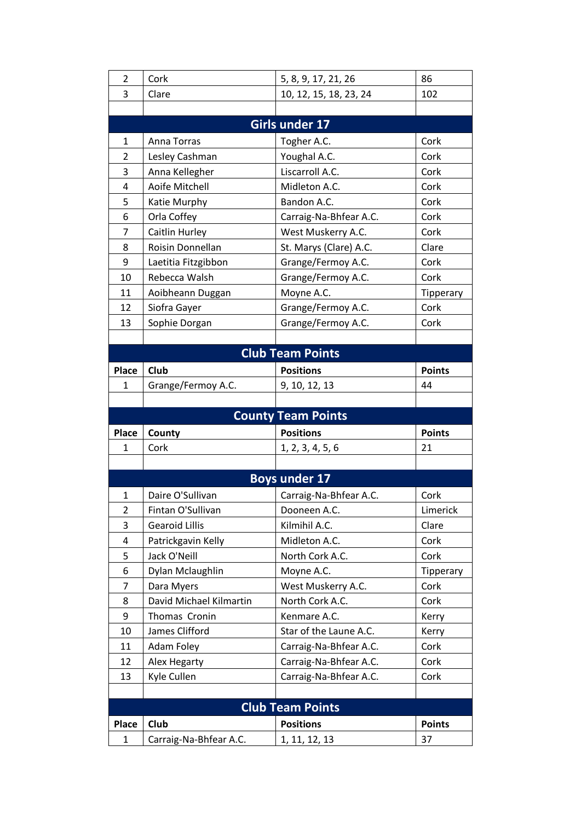| $\overline{2}$            | Cork                    | 5, 8, 9, 17, 21, 26     | 86            |  |  |  |  |
|---------------------------|-------------------------|-------------------------|---------------|--|--|--|--|
| 3                         | Clare                   | 10, 12, 15, 18, 23, 24  | 102           |  |  |  |  |
|                           |                         |                         |               |  |  |  |  |
|                           |                         | Girls under 17          |               |  |  |  |  |
| 1                         | Anna Torras             | Togher A.C.             | Cork          |  |  |  |  |
| $\overline{2}$            | Lesley Cashman          | Youghal A.C.            | Cork          |  |  |  |  |
| 3                         | Anna Kellegher          | Liscarroll A.C.         | Cork          |  |  |  |  |
| 4                         | Aoife Mitchell          | Midleton A.C.           | Cork          |  |  |  |  |
| 5                         | Katie Murphy            | Bandon A.C.             | Cork          |  |  |  |  |
| 6                         | Orla Coffey             | Carraig-Na-Bhfear A.C.  | Cork          |  |  |  |  |
| $\overline{7}$            | Caitlin Hurley          | West Muskerry A.C.      | Cork          |  |  |  |  |
| 8                         | Roisin Donnellan        | St. Marys (Clare) A.C.  | Clare         |  |  |  |  |
| 9                         | Laetitia Fitzgibbon     | Grange/Fermoy A.C.      | Cork          |  |  |  |  |
| 10                        | Rebecca Walsh           | Grange/Fermoy A.C.      | Cork          |  |  |  |  |
| 11                        | Aoibheann Duggan        | Moyne A.C.              | Tipperary     |  |  |  |  |
| 12                        | Siofra Gayer            | Grange/Fermoy A.C.      | Cork          |  |  |  |  |
| 13                        | Sophie Dorgan           | Grange/Fermoy A.C.      | Cork          |  |  |  |  |
|                           |                         |                         |               |  |  |  |  |
|                           |                         | <b>Club Team Points</b> |               |  |  |  |  |
| <b>Place</b>              | Club                    | <b>Positions</b>        | <b>Points</b> |  |  |  |  |
| 1                         | Grange/Fermoy A.C.      | 9, 10, 12, 13           | 44            |  |  |  |  |
|                           |                         |                         |               |  |  |  |  |
| <b>County Team Points</b> |                         |                         |               |  |  |  |  |
|                           |                         |                         |               |  |  |  |  |
| <b>Place</b>              | County                  | <b>Positions</b>        | <b>Points</b> |  |  |  |  |
| 1                         | Cork                    | 1, 2, 3, 4, 5, 6        | 21            |  |  |  |  |
|                           |                         |                         |               |  |  |  |  |
|                           |                         | <b>Boys under 17</b>    |               |  |  |  |  |
| 1                         | Daire O'Sullivan        | Carraig-Na-Bhfear A.C.  | Cork          |  |  |  |  |
| 2                         | Fintan O'Sullivan       | Dooneen A.C.            | Limerick      |  |  |  |  |
| 3                         | <b>Gearoid Lillis</b>   | Kilmihil A.C.           | Clare         |  |  |  |  |
| 4                         | Patrickgavin Kelly      | Midleton A.C.           | Cork          |  |  |  |  |
| 5                         | Jack O'Neill            | North Cork A.C.         | Cork          |  |  |  |  |
| 6                         | Dylan Mclaughlin        | Moyne A.C.              | Tipperary     |  |  |  |  |
| 7                         | Dara Myers              | West Muskerry A.C.      | Cork          |  |  |  |  |
| 8                         | David Michael Kilmartin | North Cork A.C.         | Cork          |  |  |  |  |
| 9                         | Thomas Cronin           | Kenmare A.C.            | Kerry         |  |  |  |  |
| 10                        | James Clifford          | Star of the Laune A.C.  | Kerry         |  |  |  |  |
| 11                        | Adam Foley              | Carraig-Na-Bhfear A.C.  | Cork          |  |  |  |  |
| 12                        | Alex Hegarty            | Carraig-Na-Bhfear A.C.  | Cork          |  |  |  |  |
| 13                        | Kyle Cullen             | Carraig-Na-Bhfear A.C.  | Cork          |  |  |  |  |
|                           |                         |                         |               |  |  |  |  |
|                           |                         | <b>Club Team Points</b> |               |  |  |  |  |
| <b>Place</b>              | <b>Club</b>             | <b>Positions</b>        | <b>Points</b> |  |  |  |  |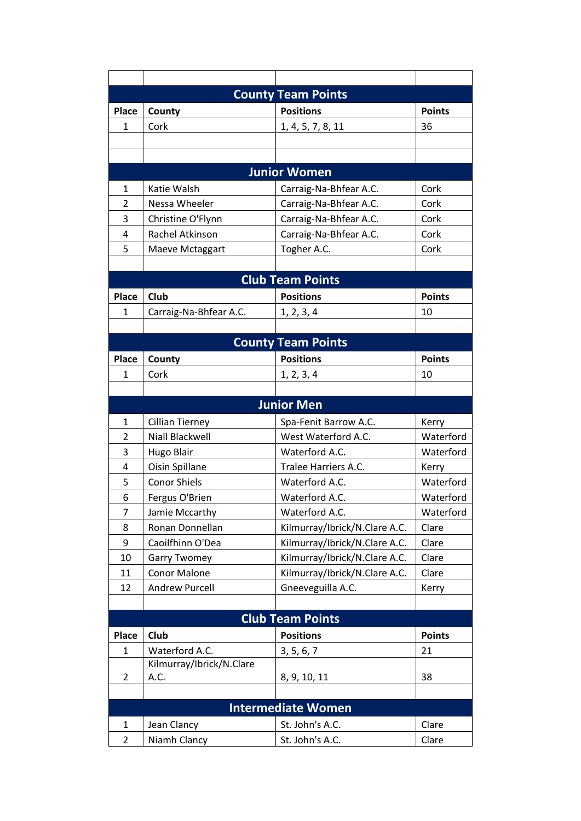| <b>County Team Points</b> |                                  |                               |               |  |  |
|---------------------------|----------------------------------|-------------------------------|---------------|--|--|
| Place                     | County                           | <b>Positions</b>              | <b>Points</b> |  |  |
| 1                         | Cork                             | 1, 4, 5, 7, 8, 11             | 36            |  |  |
|                           |                                  |                               |               |  |  |
|                           |                                  |                               |               |  |  |
|                           |                                  | <b>Junior Women</b>           |               |  |  |
| $\mathbf 1$               | Katie Walsh                      | Carraig-Na-Bhfear A.C.        | Cork          |  |  |
| 2                         | Nessa Wheeler                    | Carraig-Na-Bhfear A.C.        | Cork          |  |  |
| 3                         | Christine O'Flynn                | Carraig-Na-Bhfear A.C.        | Cork          |  |  |
| 4                         | Rachel Atkinson                  | Carraig-Na-Bhfear A.C.        | Cork          |  |  |
| 5                         | Maeve Mctaggart                  | Togher A.C.                   | Cork          |  |  |
|                           |                                  |                               |               |  |  |
|                           |                                  | <b>Club Team Points</b>       |               |  |  |
| <b>Place</b>              | Club                             | <b>Positions</b>              | <b>Points</b> |  |  |
| $\mathbf 1$               | Carraig-Na-Bhfear A.C.           | 1, 2, 3, 4                    | 10            |  |  |
|                           |                                  |                               |               |  |  |
|                           |                                  | <b>County Team Points</b>     |               |  |  |
| <b>Place</b>              | County                           | <b>Positions</b>              | <b>Points</b> |  |  |
| 1                         | Cork                             | 1, 2, 3, 4                    | 10            |  |  |
|                           |                                  |                               |               |  |  |
|                           |                                  | <b>Junior Men</b>             |               |  |  |
| 1                         | <b>Cillian Tierney</b>           | Spa-Fenit Barrow A.C.         | Kerry         |  |  |
| 2                         | Niall Blackwell                  | West Waterford A.C.           | Waterford     |  |  |
| 3                         | <b>Hugo Blair</b>                | Waterford A.C.                | Waterford     |  |  |
| 4                         | Oisin Spillane                   | Tralee Harriers A.C.          | Kerry         |  |  |
| 5                         | <b>Conor Shiels</b>              | Waterford A.C.                | Waterford     |  |  |
| 6                         | Fergus O'Brien                   | Waterford A.C.                | Waterford     |  |  |
| 7                         | Jamie Mccarthy                   | Waterford A.C.                | Waterford     |  |  |
| 8                         | Ronan Donnellan                  | Kilmurray/Ibrick/N.Clare A.C. | Clare         |  |  |
| 9                         | Caoilfhinn O'Dea                 | Kilmurray/Ibrick/N.Clare A.C. | Clare         |  |  |
| 10                        | <b>Garry Twomey</b>              | Kilmurray/Ibrick/N.Clare A.C. | Clare         |  |  |
| 11                        | <b>Conor Malone</b>              | Kilmurray/Ibrick/N.Clare A.C. | Clare         |  |  |
| 12                        | Andrew Purcell                   | Gneeveguilla A.C.             | Kerry         |  |  |
|                           |                                  |                               |               |  |  |
| <b>Club Team Points</b>   |                                  |                               |               |  |  |
| <b>Place</b>              | Club                             | <b>Positions</b>              | <b>Points</b> |  |  |
| 1                         | Waterford A.C.                   | 3, 5, 6, 7                    | 21            |  |  |
| 2                         | Kilmurray/Ibrick/N.Clare<br>A.C. |                               | 38            |  |  |
|                           |                                  | 8, 9, 10, 11                  |               |  |  |
|                           | <b>Intermediate Women</b>        |                               |               |  |  |
| 1                         | Jean Clancy                      | St. John's A.C.               | Clare         |  |  |
| 2                         | Niamh Clancy                     | St. John's A.C.               | Clare         |  |  |
|                           |                                  |                               |               |  |  |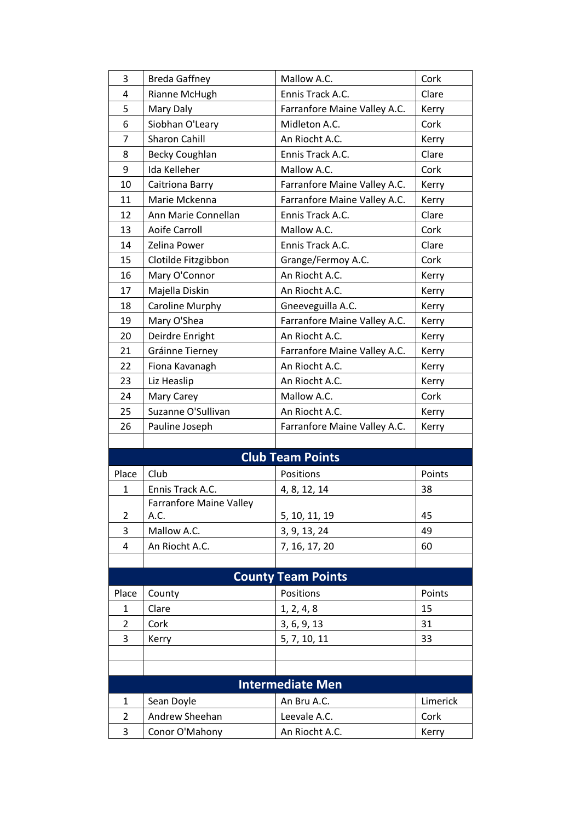| 3                         | <b>Breda Gaffney</b>           | Mallow A.C.                  | Cork     |  |
|---------------------------|--------------------------------|------------------------------|----------|--|
| 4                         | Rianne McHugh                  | Ennis Track A.C.             | Clare    |  |
| 5                         | Mary Daly                      | Farranfore Maine Valley A.C. | Kerry    |  |
| 6                         | Siobhan O'Leary                | Midleton A.C.                | Cork     |  |
| $\overline{7}$            | <b>Sharon Cahill</b>           | An Riocht A.C.               | Kerry    |  |
| 8                         | Becky Coughlan                 | Ennis Track A.C.             | Clare    |  |
| 9                         | Ida Kelleher                   | Mallow A.C.                  | Cork     |  |
| 10                        | Caitriona Barry                | Farranfore Maine Valley A.C. | Kerry    |  |
| 11                        | Marie Mckenna                  | Farranfore Maine Valley A.C. | Kerry    |  |
| 12                        | Ann Marie Connellan            | Ennis Track A.C.             | Clare    |  |
| 13                        | <b>Aoife Carroll</b>           | Mallow A.C.                  | Cork     |  |
| 14                        | Zelina Power                   | Ennis Track A.C.             | Clare    |  |
| 15                        | Clotilde Fitzgibbon            | Grange/Fermoy A.C.           | Cork     |  |
| 16                        | Mary O'Connor                  | An Riocht A.C.               | Kerry    |  |
| 17                        | Majella Diskin                 | An Riocht A.C.               | Kerry    |  |
| 18                        | Caroline Murphy                | Gneeveguilla A.C.            | Kerry    |  |
| 19                        | Mary O'Shea                    | Farranfore Maine Valley A.C. | Kerry    |  |
| 20                        | Deirdre Enright                | An Riocht A.C.               | Kerry    |  |
| 21                        | Gráinne Tierney                | Farranfore Maine Valley A.C. | Kerry    |  |
| 22                        | Fiona Kavanagh                 | An Riocht A.C.               | Kerry    |  |
| 23                        | Liz Heaslip                    | An Riocht A.C.               | Kerry    |  |
| 24                        | Mary Carey                     | Mallow A.C.                  | Cork     |  |
| 25                        | Suzanne O'Sullivan             | An Riocht A.C.               | Kerry    |  |
| 26                        | Pauline Joseph                 | Farranfore Maine Valley A.C. | Kerry    |  |
|                           |                                |                              |          |  |
|                           |                                | <b>Club Team Points</b>      |          |  |
| Place                     | Club                           | Positions                    | Points   |  |
| $\mathbf{1}$              | Ennis Track A.C.               | 4, 8, 12, 14                 | 38       |  |
|                           | <b>Farranfore Maine Valley</b> |                              |          |  |
| $\overline{2}$            | A.C.                           | 5, 10, 11, 19                | 45       |  |
| 3                         | Mallow A.C.                    | 3, 9, 13, 24                 | 49       |  |
| 4                         | An Riocht A.C.                 | 7, 16, 17, 20                | 60       |  |
|                           |                                |                              |          |  |
| <b>County Team Points</b> |                                |                              |          |  |
| Place                     | County                         | Positions                    | Points   |  |
| 1                         | Clare                          | 1, 2, 4, 8                   | 15       |  |
| $\overline{2}$            | Cork                           | 3, 6, 9, 13                  | 31       |  |
| 3                         | Kerry                          | 5, 7, 10, 11                 | 33       |  |
|                           |                                |                              |          |  |
|                           |                                |                              |          |  |
|                           |                                | <b>Intermediate Men</b>      |          |  |
| $\mathbf{1}$              | Sean Doyle                     | An Bru A.C.                  | Limerick |  |
| $\overline{2}$            | Andrew Sheehan                 | Leevale A.C.                 | Cork     |  |
|                           |                                |                              |          |  |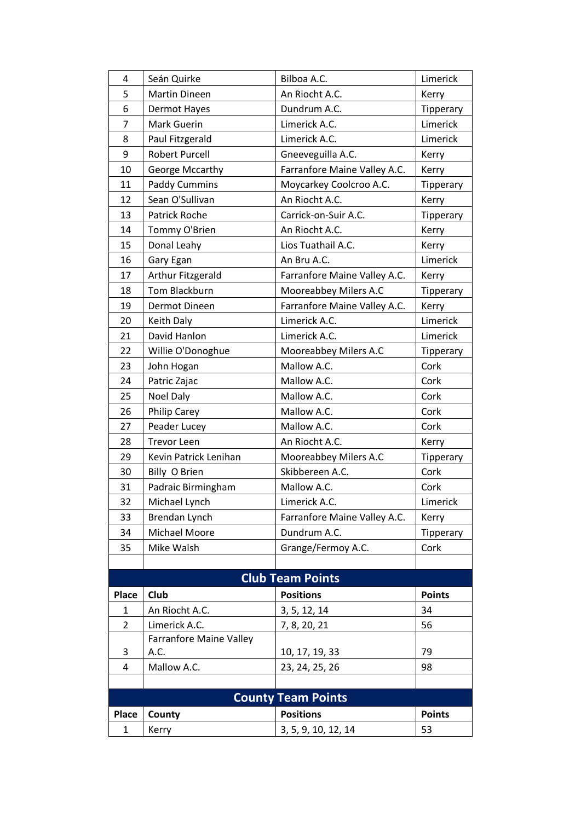| $\overline{4}$            | Seán Quirke                    | Bilboa A.C.                  | Limerick      |  |
|---------------------------|--------------------------------|------------------------------|---------------|--|
| 5                         | <b>Martin Dineen</b>           | An Riocht A.C.               | Kerry         |  |
| 6                         | Dermot Hayes                   | Dundrum A.C.                 | Tipperary     |  |
| 7                         | Mark Guerin                    | Limerick A.C.                | Limerick      |  |
| 8                         | Paul Fitzgerald                | Limerick A.C.                | Limerick      |  |
| 9                         | <b>Robert Purcell</b>          | Gneeveguilla A.C.            | Kerry         |  |
| 10                        | George Mccarthy                | Farranfore Maine Valley A.C. | Kerry         |  |
| 11                        | <b>Paddy Cummins</b>           | Moycarkey Coolcroo A.C.      | Tipperary     |  |
| 12                        | Sean O'Sullivan                | An Riocht A.C.               | Kerry         |  |
| 13                        | Patrick Roche                  | Carrick-on-Suir A.C.         | Tipperary     |  |
| 14                        | Tommy O'Brien                  | An Riocht A.C.               | Kerry         |  |
| 15                        | Donal Leahy                    | Lios Tuathail A.C.           | Kerry         |  |
| 16                        | Gary Egan                      | An Bru A.C.                  | Limerick      |  |
| 17                        | Arthur Fitzgerald              | Farranfore Maine Valley A.C. | Kerry         |  |
| 18                        | Tom Blackburn                  | Mooreabbey Milers A.C        | Tipperary     |  |
| 19                        | Dermot Dineen                  | Farranfore Maine Valley A.C. | Kerry         |  |
| 20                        | Keith Daly                     | Limerick A.C.                | Limerick      |  |
| 21                        | David Hanlon                   | Limerick A.C.                | Limerick      |  |
| 22                        | Willie O'Donoghue              | Mooreabbey Milers A.C        | Tipperary     |  |
| 23                        | John Hogan                     | Mallow A.C.                  | Cork          |  |
| 24                        | Patric Zajac                   | Mallow A.C.                  | Cork          |  |
| 25                        | Noel Daly                      | Mallow A.C.                  | Cork          |  |
| 26                        | <b>Philip Carey</b>            | Mallow A.C.                  | Cork          |  |
| 27                        | Peader Lucey                   | Mallow A.C.                  | Cork          |  |
| 28                        | <b>Trevor Leen</b>             | An Riocht A.C.               | Kerry         |  |
| 29                        | Kevin Patrick Lenihan          | Mooreabbey Milers A.C        | Tipperary     |  |
| 30                        | Billy O Brien                  | Skibbereen A.C.              | Cork          |  |
| 31                        | Padraic Birmingham             | Mallow A.C.                  | Cork          |  |
| 32                        | Michael Lynch                  | Limerick A.C.                | Limerick      |  |
| 33                        | Brendan Lynch                  | Farranfore Maine Valley A.C. | Kerry         |  |
| 34                        | Michael Moore                  | Dundrum A.C.                 | Tipperary     |  |
| 35                        | Mike Walsh                     | Grange/Fermoy A.C.           | Cork          |  |
|                           |                                |                              |               |  |
| <b>Club Team Points</b>   |                                |                              |               |  |
| <b>Place</b>              | Club                           | <b>Positions</b>             | <b>Points</b> |  |
| 1                         | An Riocht A.C.                 | 3, 5, 12, 14                 | 34            |  |
| 2                         | Limerick A.C.                  | 7, 8, 20, 21                 | 56            |  |
|                           | <b>Farranfore Maine Valley</b> |                              |               |  |
| 3                         | A.C.                           | 10, 17, 19, 33               | 79            |  |
| 4                         | Mallow A.C.                    | 23, 24, 25, 26               | 98            |  |
|                           |                                |                              |               |  |
| <b>County Team Points</b> |                                |                              |               |  |
| <b>Place</b>              | County                         | <b>Positions</b>             | <b>Points</b> |  |
| 1                         | Kerry                          | 3, 5, 9, 10, 12, 14          | 53            |  |